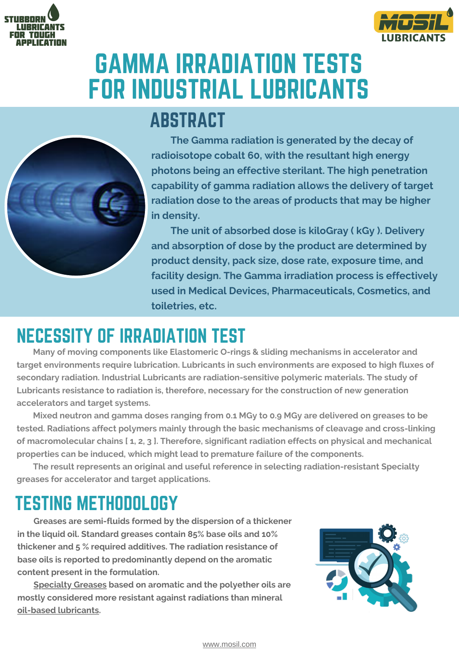



# GAMMA IRRADIATION TESTS FOR INDUSTRIAL [LUBRICANTS](https://www.mosil.com/)



### ABSTRACT

**The Gamma radiation is generated by the decay of radioisotope cobalt 60, with the resultant high energy photons being an effective sterilant. The high penetration capability of gamma radiation allows the delivery of target radiation dose to the areas of products that may be higher in density.**

**The unit of absorbed dose is kiloGray ( kGy ). Delivery and absorption of dose by the product are determined by product density, pack size, dose rate, exposure time, and facility design. The Gamma irradiation process is effectively used in Medical Devices, Pharmaceuticals, Cosmetics, and toiletries, etc.**

## NECESSITY OF IRRADIATION TEST

**Many of moving components like Elastomeric O-rings & sliding mechanisms in accelerator and target environments require lubrication. [Lubricants](https://www.mosil.com/) in such environments are exposed to high fluxes of secondary radiation. Industrial [Lubricants](https://www.mosil.com/) are radiation-sensitive polymeric materials. The study of [Lubricants](https://www.mosil.com/) resistance to radiation is, therefore, necessary for the construction of new generation accelerators and target systems.**

**Mixed neutron and gamma doses ranging from 0.1 MGy to 0.9 MGy are delivered on greases to be tested. Radiations affect polymers mainly through the basic mechanisms of cleavage and cross-linking of macromolecular chains [ 1, 2, 3 ]. Therefore, significant radiation effects on physical and mechanical properties can be induced, which might lead to premature failure of the components.**

**The result represents an original and useful reference in selecting [radiation-resistant](https://www.mosil.com/product/34/grease) Specialty greases for accelerator and target applications.**

#### TESTING METHODOLOGY

**Greases are semi-fluids formed by the dispersion of a thickener in the liquid oil. Standard greases contain 85% base oils and 10% thickener and 5 % required additives. The radiation resistance of base oils is reported to predominantly depend on the aromatic content present in the formulation.**

**[Specialty](https://www.mosil.com/product-details/378/csr-100-high-speed-grease) Greases based on aromatic and the polyether oils are mostly considered more resistant against radiations than mineral oil-based [lubricants](https://www.mosil.com/product/35/oils).**